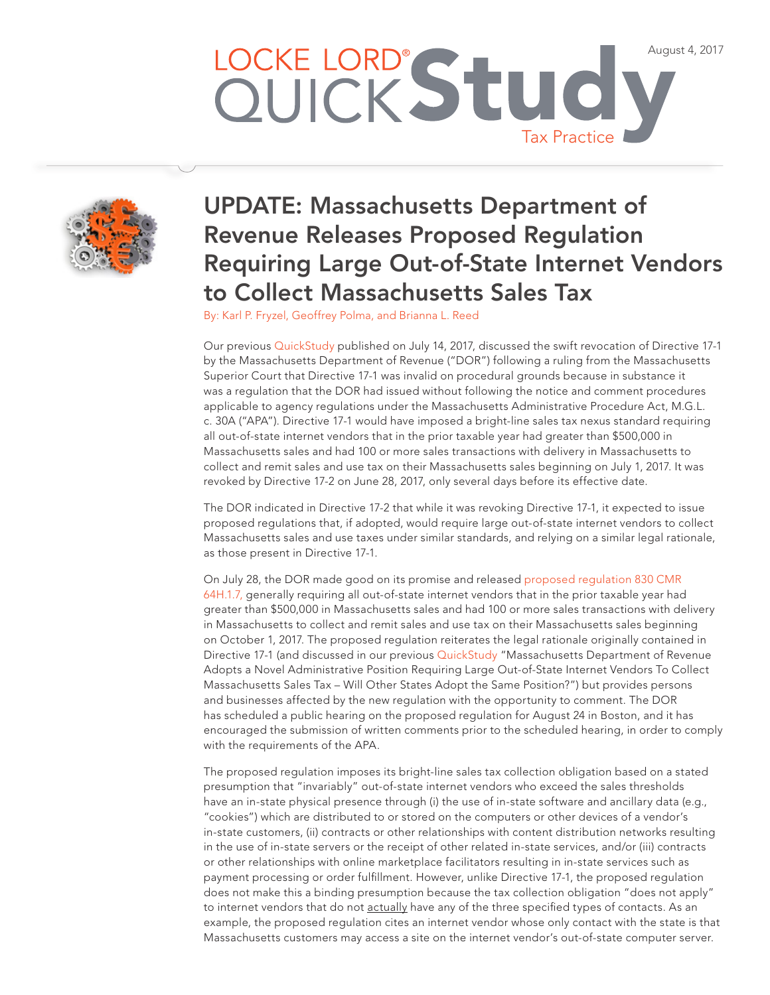## LOCKE LORD® Stud August 4, 2017 Tax Practice



## UPDATE: Massachusetts Department of Revenue Releases Proposed Regulation Requiring Large Out-of-State Internet Vendors to Collect Massachusetts Sales Tax

By: [Karl P. Fryzel](http://www.lockelord.com/professionals/f/fryzel-karl-p), [Geoffrey Polma](http://www.lockelord.com/professionals/p/polma-geoffrey), and [Brianna L. Reed](http://www.lockelord.com/professionals/r/reed-brianna) 

Our previous [QuickStudy](http://www.lockelord.com/newsandevents/publications/2017/07/update-ma-department-of-revenue) published on July 14, 2017, discussed the swift revocation of Directive 17-1 by the Massachusetts Department of Revenue ("DOR") following a ruling from the Massachusetts Superior Court that Directive 17-1 was invalid on procedural grounds because in substance it was a regulation that the DOR had issued without following the notice and comment procedures applicable to agency regulations under the Massachusetts Administrative Procedure Act, M.G.L. c. 30A ("APA"). Directive 17-1 would have imposed a bright-line sales tax nexus standard requiring all out-of-state internet vendors that in the prior taxable year had greater than \$500,000 in Massachusetts sales and had 100 or more sales transactions with delivery in Massachusetts to collect and remit sales and use tax on their Massachusetts sales beginning on July 1, 2017. It was revoked by Directive 17-2 on June 28, 2017, only several days before its effective date.

The DOR indicated in Directive 17-2 that while it was revoking Directive 17-1, it expected to issue proposed regulations that, if adopted, would require large out-of-state internet vendors to collect Massachusetts sales and use taxes under similar standards, and relying on a similar legal rationale, as those present in Directive 17-1.

On July 28, the DOR made good on its promise and released [proposed regulation 830 CMR](http://www.mass.gov/dor/businesses/help-and-resources/legal-library/regulations/64h-00-sales-and-use-tax/proposed-830-cmr-64h-1-7.html?)  [64H.1.7,](http://www.mass.gov/dor/businesses/help-and-resources/legal-library/regulations/64h-00-sales-and-use-tax/proposed-830-cmr-64h-1-7.html?) generally requiring all out-of-state internet vendors that in the prior taxable year had greater than \$500,000 in Massachusetts sales and had 100 or more sales transactions with delivery in Massachusetts to collect and remit sales and use tax on their Massachusetts sales beginning on October 1, 2017. The proposed regulation reiterates the legal rationale originally contained in Directive 17-1 (and discussed in our previous [QuickStudy](http://www.lockelord.com/newsandevents/publications/2017/04/massachusetts-department-of-revenue) "Massachusetts Department of Revenue Adopts a Novel Administrative Position Requiring Large Out-of-State Internet Vendors To Collect Massachusetts Sales Tax – Will Other States Adopt the Same Position?") but provides persons and businesses affected by the new regulation with the opportunity to comment. The DOR has scheduled a public hearing on the proposed regulation for August 24 in Boston, and it has encouraged the submission of written comments prior to the scheduled hearing, in order to comply with the requirements of the APA.

The proposed regulation imposes its bright-line sales tax collection obligation based on a stated presumption that "invariably" out-of-state internet vendors who exceed the sales thresholds have an in-state physical presence through (i) the use of in-state software and ancillary data (e.g., "cookies") which are distributed to or stored on the computers or other devices of a vendor's in-state customers, (ii) contracts or other relationships with content distribution networks resulting in the use of in-state servers or the receipt of other related in-state services, and/or (iii) contracts or other relationships with online marketplace facilitators resulting in in-state services such as payment processing or order fulfillment. However, unlike Directive 17-1, the proposed regulation does not make this a binding presumption because the tax collection obligation "does not apply" to internet vendors that do not actually have any of the three specified types of contacts. As an example, the proposed regulation cites an internet vendor whose only contact with the state is that Massachusetts customers may access a site on the internet vendor's out-of-state computer server.